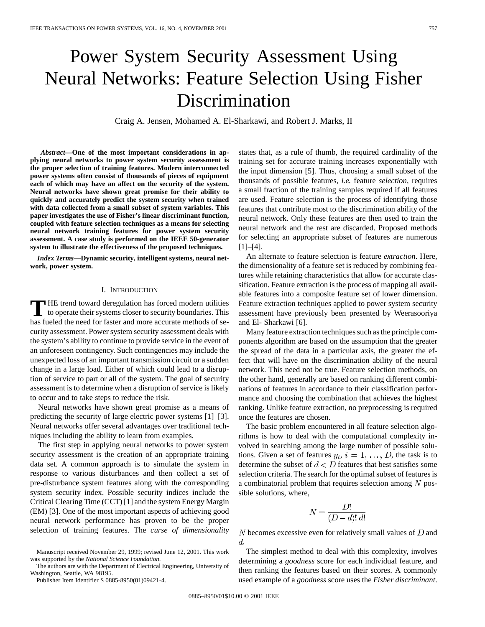# Power System Security Assessment Using Neural Networks: Feature Selection Using Fisher Discrimination

Craig A. Jensen, Mohamed A. El-Sharkawi, and Robert J. Marks, II

*Abstract—***One of the most important considerations in applying neural networks to power system security assessment is the proper selection of training features. Modern interconnected power systems often consist of thousands of pieces of equipment each of which may have an affect on the security of the system. Neural networks have shown great promise for their ability to quickly and accurately predict the system security when trained with data collected from a small subset of system variables. This paper investigates the use of Fisher's linear discriminant function, coupled with feature selection techniques as a means for selecting neural network training features for power system security assessment. A case study is performed on the IEEE 50-generator system to illustrate the effectiveness of the proposed techniques.**

*Index Terms—***Dynamic security, intelligent systems, neural network, power system.**

## I. INTRODUCTION

**T** HE trend toward deregulation has forced modern utilities to operate their systems closer to security boundaries. This has fueled the need for faster and more accurate methods of security assessment. Power system security assessment deals with the system's ability to continue to provide service in the event of an unforeseen contingency. Such contingencies may include the unexpected loss of an important transmission circuit or a sudden change in a large load. Either of which could lead to a disruption of service to part or all of the system. The goal of security assessment is to determine when a disruption of service is likely to occur and to take steps to reduce the risk.

Neural networks have shown great promise as a means of predicting the security of large electric power systems [1]–[3]. Neural networks offer several advantages over traditional techniques including the ability to learn from examples.

The first step in applying neural networks to power system security assessment is the creation of an appropriate training data set. A common approach is to simulate the system in response to various disturbances and then collect a set of pre-disturbance system features along with the corresponding system security index. Possible security indices include the Critical Clearing Time (CCT) [1] and the system Energy Margin (EM) [3]. One of the most important aspects of achieving good neural network performance has proven to be the proper selection of training features. The *curse of dimensionality*

The authors are with the Department of Electrical Engineering, University of Washington, Seattle, WA 98195.

Publisher Item Identifier S 0885-8950(01)09421-4.

states that, as a rule of thumb, the required cardinality of the training set for accurate training increases exponentially with the input dimension [5]. Thus, choosing a small subset of the thousands of possible features, *i.e.* feature *selection*, requires a small fraction of the training samples required if all features are used. Feature selection is the process of identifying those features that contribute most to the discrimination ability of the neural network. Only these features are then used to train the neural network and the rest are discarded. Proposed methods for selecting an appropriate subset of features are numerous  $[1]-[4]$ .

An alternate to feature selection is feature *extraction*. Here, the dimensionality of a feature set is reduced by combining features while retaining characteristics that allow for accurate classification. Feature extraction is the process of mapping all available features into a composite feature set of lower dimension. Feature extraction techniques applied to power system security assessment have previously been presented by Weerasooriya and El- Sharkawi [6].

Many feature extraction techniques such as the principle components algorithm are based on the assumption that the greater the spread of the data in a particular axis, the greater the effect that will have on the discrimination ability of the neural network. This need not be true. Feature selection methods, on the other hand, generally are based on ranking different combinations of features in accordance to their classification performance and choosing the combination that achieves the highest ranking. Unlike feature extraction, no preprocessing is required once the features are chosen.

The basic problem encountered in all feature selection algorithms is how to deal with the computational complexity involved in searching among the large number of possible solutions. Given a set of features  $y_i, i = 1, \ldots, D$ , the task is to determine the subset of  $d < D$  features that best satisfies some selection criteria. The search for the optimal subset of features is a combinatorial problem that requires selection among  $N$  possible solutions, where,

$$
N = \frac{D!}{(D-d)! \, d!}
$$

N becomes excessive even for relatively small values of  $D$  and  $d.$ 

The simplest method to deal with this complexity, involves determining a *goodness* score for each individual feature, and then ranking the features based on their scores. A commonly used example of a *goodness* score uses the *Fisher discriminant*.

Manuscript received November 29, 1999; revised June 12, 2001. This work was supported by the *National Science Foundation*.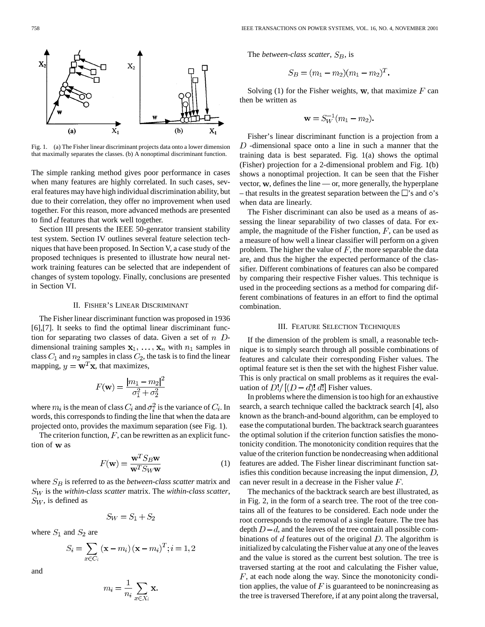

Fig. 1. (a) The Fisher linear discriminant projects data onto a lower dimension that maximally separates the classes. (b) A nonoptimal discriminant function.

The simple ranking method gives poor performance in cases when many features are highly correlated. In such cases, several features may have high individual discrimination ability, but due to their correlation, they offer no improvement when used together. For this reason, more advanced methods are presented to find  $d$  features that work well together.

Section III presents the IEEE 50-genrator transient stability test system. Section IV outlines several feature selection techniques that have been proposed. In Section V, a case study of the proposed techniques is presented to illustrate how neural network training features can be selected that are independent of changes of system topology. Finally, conclusions are presented in Section VI.

# II. FISHER'S LINEAR DISCRIMINANT

The Fisher linear discriminant function was proposed in 1936 [6],[7]. It seeks to find the optimal linear discriminant function for separating two classes of data. Given a set of  $n$   $D$ dimensional training samples  $x_1, \ldots, x_n$  with  $n_1$  samples in class  $C_1$  and  $n_2$  samples in class  $C_2$ , the task is to find the linear mapping,  $y = \mathbf{w}^T \mathbf{x}$ , that maximizes,

$$
F(\mathbf{w}) = \frac{|m_1 - m_2|^2}{\sigma_1^2 + \sigma_2^2}
$$

where  $m_i$  is the mean of class  $C_i$  and  $\sigma_i^2$  is the variance of  $C_i$ . In words, this corresponds to finding the line that when the data are projected onto, provides the maximum separation (see Fig. 1).

The criterion function,  $F$ , can be rewritten as an explicit function of w as

$$
F(\mathbf{w}) = \frac{\mathbf{w}^T S_B \mathbf{w}}{\mathbf{w}^T S_W \mathbf{w}} \tag{1}
$$

where  $S_B$  is referred to as the *between-class scatter* matrix and  $S_W$  is the *within-class scatter* matrix. The *within-class scatter*,  $S_W$ , is defined as

$$
S_W = S_1 + S_2
$$

where  $S_1$  and  $S_2$  are

$$
S_i = \sum_{x \in C_i} (\mathbf{x} - m_i) (\mathbf{x} - m_i)^T; i = 1, 2
$$

and

$$
m_i = \frac{1}{n_i} \sum_{x \in X_i} \mathbf{x}.
$$

The *between-class scatter*,  $S_B$ , is

$$
S_B = (m_1 - m_2)(m_1 - m_2)^T.
$$

Solving (1) for the Fisher weights, w, that maximize  $F$  can then be written as

$$
\mathbf{w} = S_W^{-1}(m_1 - m_2).
$$

Fisher's linear discriminant function is a projection from a  $D$ -dimensional space onto a line in such a manner that the training data is best separated. Fig. 1(a) shows the optimal (Fisher) projection for a 2-dimensional problem and Fig. 1(b) shows a nonoptimal projection. It can be seen that the Fisher vector,  $\bf{w}$ , defines the line — or, more generally, the hyperplane – that results in the greatest separation between the  $\Box$ 's and  $\circ$ 's when data are linearly.

The Fisher discriminant can also be used as a means of assessing the linear separability of two classes of data. For example, the magnitude of the Fisher function,  $F$ , can be used as a measure of how well a linear classifier will perform on a given problem. The higher the value of  $F$ , the more separable the data are, and thus the higher the expected performance of the classifier. Different combinations of features can also be compared by comparing their respective Fisher values. This technique is used in the proceeding sections as a method for comparing different combinations of features in an effort to find the optimal combination.

# III. FEATURE SELECTION TECHNIQUES

If the dimension of the problem is small, a reasonable technique is to simply search through all possible combinations of features and calculate their corresponding Fisher values. The optimal feature set is then the set with the highest Fisher value. This is only practical on small problems as it requires the evaluation of  $D!/[(D-d)!d!]$  Fisher values.

In problems where the dimension is too high for an exhaustive search, a search technique called the backtrack search [4], also known as the branch-and-bound algorithm, can be employed to ease the computational burden. The backtrack search guarantees the optimal solution if the criterion function satisfies the monotonicity condition. The monotonicity condition requires that the value of the criterion function be nondecreasing when additional features are added. The Fisher linear discriminant function satisfies this condition because increasing the input dimension,  $D$ , can never result in a decrease in the Fisher value  $F$ .

The mechanics of the backtrack search are best illustrated, as in Fig. 2, in the form of a search tree. The root of the tree contains all of the features to be considered. Each node under the root corresponds to the removal of a single feature. The tree has depth  $D - d$ , and the leaves of the tree contain all possible combinations of  $d$  features out of the original  $D$ . The algorithm is initialized by calculating the Fisher value at any one of the leaves and the value is stored as the current best solution. The tree is traversed starting at the root and calculating the Fisher value,  $F$ , at each node along the way. Since the monotonicity condition applies, the value of  $F$  is guaranteed to be nonincreasing as the tree is traversed Therefore, if at any point along the traversal,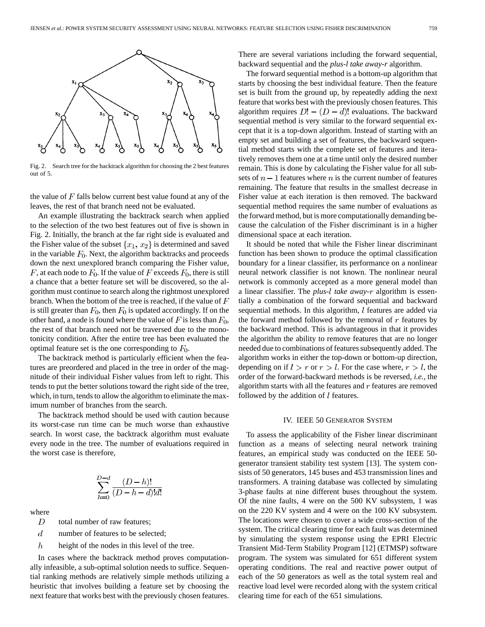

Fig. 2. Search tree for the backtrack algorithm for choosing the 2 best features out of 5.

the value of  $F$  falls below current best value found at any of the leaves, the rest of that branch need not be evaluated.

An example illustrating the backtrack search when applied to the selection of the two best features out of five is shown in Fig. 2. Initially, the branch at the far right side is evaluated and the Fisher value of the subset  $\{x_1, x_2\}$  is determined and saved in the variable  $F_0$ . Next, the algorithm backtracks and proceeds down the next unexplored branch comparing the Fisher value, F, at each node to  $F_0$ . If the value of F exceeds  $F_0$ , there is still a chance that a better feature set will be discovered, so the algorithm must continue to search along the rightmost unexplored branch. When the bottom of the tree is reached, if the value of  $F$ is still greater than  $F_0$ , then  $F_0$  is updated accordingly. If on the other hand, a node is found where the value of F is less than  $F_0$ , the rest of that branch need not be traversed due to the monotonicity condition. After the entire tree has been evaluated the optimal feature set is the one corresponding to  $F_0$ .

The backtrack method is particularly efficient when the features are preordered and placed in the tree in order of the magnitude of their individual Fisher values from left to right. This tends to put the better solutions toward the right side of the tree, which, in turn, tends to allow the algorithm to eliminate the maximum number of branches from the search.

The backtrack method should be used with caution because its worst-case run time can be much worse than exhaustive search. In worst case, the backtrack algorithm must evaluate every node in the tree. The number of evaluations required in the worst case is therefore,

$$
\sum_{h=0}^{D-d} \frac{(D-h)!}{(D-h-d)!d!}
$$

where

- $\boldsymbol{D}$ total number of raw features;
- $\boldsymbol{d}$ number of features to be selected;
- height of the nodes in this level of the tree.  $\hbar$

In cases where the backtrack method proves computationally infeasible, a sub-optimal solution needs to suffice. Sequential ranking methods are relatively simple methods utilizing a heuristic that involves building a feature set by choosing the next feature that works best with the previously chosen features. There are several variations including the forward sequential, backward sequential and the *plus-l take away-r* algorithm.

The forward sequential method is a bottom-up algorithm that starts by choosing the best individual feature. Then the feature set is built from the ground up, by repeatedly adding the next feature that works best with the previously chosen features. This algorithm requires  $D! - (D - d)!$  evaluations. The backward sequential method is very similar to the forward sequential except that it is a top-down algorithm. Instead of starting with an empty set and building a set of features, the backward sequential method starts with the complete set of features and iteratively removes them one at a time until only the desired number remain. This is done by calculating the Fisher value for all subsets of  $n-1$  features where n is the current number of features remaining. The feature that results in the smallest decrease in Fisher value at each iteration is then removed. The backward sequential method requires the same number of evaluations as the forward method, but is more computationally demanding because the calculation of the Fisher discriminant is in a higher dimensional space at each iteration.

It should be noted that while the Fisher linear discriminant function has been shown to produce the optimal classification boundary for a linear classifier, its performance on a nonlinear neural network classifier is not known. The nonlinear neural network is commonly accepted as a more general model than a linear classifier. The *plus-l take away-r* algorithm is essentially a combination of the forward sequential and backward sequential methods. In this algorithm,  $l$  features are added via the forward method followed by the removal of  $r$  features by the backward method. This is advantageous in that it provides the algorithm the ability to remove features that are no longer needed due to combinations of features subsequently added. The algorithm works in either the top-down or bottom-up direction, depending on if  $l > r$  or  $r > l$ . For the case where,  $r > l$ , the order of the forward-backward methods is be reversed, *i.e.*, the algorithm starts with all the features and  $r$  features are removed followed by the addition of  $l$  features.

# IV. IEEE 50 GENERATOR SYSTEM

To assess the applicability of the Fisher linear discriminant function as a means of selecting neural network training features, an empirical study was conducted on the IEEE 50 generator transient stability test system [13]. The system consists of 50 generators, 145 buses and 453 transmission lines and transformers. A training database was collected by simulating 3-phase faults at nine different buses throughout the system. Of the nine faults, 4 were on the 500 KV subsystem, 1 was on the 220 KV system and 4 were on the 100 KV subsystem. The locations were chosen to cover a wide cross-section of the system. The critical clearing time for each fault was determined by simulating the system response using the EPRI Electric Transient Mid-Term Stability Program [12] (ETMSP) software program. The system was simulated for 651 different system operating conditions. The real and reactive power output of each of the 50 generators as well as the total system real and reactive load level were recorded along with the system critical clearing time for each of the 651 simulations.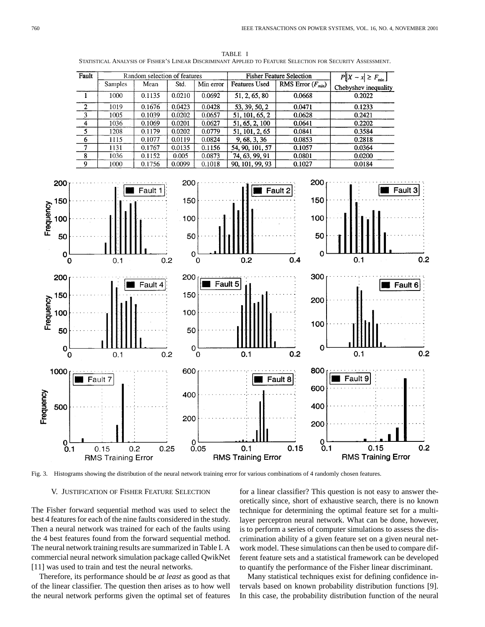TABLE I STATISTICAL ANALYSIS OF FISHER'S LINEAR DISCRIMINANT APPLIED TO FEATURE SELECTION FOR SECURITY ASSESSMENT.

| Fault                   | Random selection of features |        |        | <b>Fisher Feature Selection</b> |                      | $P  X - x  \ge F_{\min}$     |                      |
|-------------------------|------------------------------|--------|--------|---------------------------------|----------------------|------------------------------|----------------------|
|                         | <b>Samples</b>               | Mean   | Std.   | Min error                       | <b>Features Used</b> | <b>RMS</b> Error $(F_{min})$ | Chebyshev inequality |
|                         | 1000                         | 0.1135 | 0.0210 | 0.0692                          | 51, 2, 65, 80        | 0.0668                       | 0.2022               |
| $\overline{2}$          | 1019                         | 0.1676 | 0.0423 | 0.0428                          | 53, 39, 50, 2        | 0.0471                       | 0.1233               |
| $\overline{\mathbf{3}}$ | 1005                         | 0.1039 | 0.0202 | 0.0657                          | 51, 101, 65, 2       | 0.0628                       | 0.2421               |
| $\overline{4}$          | 1036                         | 0.1069 | 0.0201 | 0.0627                          | 51, 65, 2, 100       | 0.0641                       | 0.2202               |
| 5                       | 1208                         | 0.1179 | 0.0202 | 0.0779                          | 51, 101, 2, 65       | 0.0841                       | 0.3584               |
| 6                       | 1115                         | 0.1077 | 0.0119 | 0.0824                          | 9, 68, 3, 36         | 0.0853                       | 0.2818               |
| 7                       | 1131                         | 0.1767 | 0.0135 | 0.1156                          | 54, 90, 101, 57      | 0.1057                       | 0.0364               |
| 8                       | 1036                         | 0.1152 | 0.005  | 0.0873                          | 74, 63, 99, 91       | 0.0801                       | 0.0200               |
| $\Omega$                | 1000.                        | 0.1756 | n nnnn | 0.1010                          | 00 101 00 02         | 0.1027                       | 0.0104               |



Fig. 3. Histograms showing the distribution of the neural network training error for various combinations of 4 randomly chosen features.

# V. JUSTIFICATION OF FISHER FEATURE SELECTION

The Fisher forward sequential method was used to select the best 4 features for each of the nine faults considered in the study. Then a neural network was trained for each of the faults using the 4 best features found from the forward sequential method. The neural network training results are summarized in Table I. A commercial neural network simulation package called QwikNet [11] was used to train and test the neural networks.

Therefore, its performance should be *at least* as good as that of the linear classifier. The question then arises as to how well the neural network performs given the optimal set of features for a linear classifier? This question is not easy to answer theoretically since, short of exhaustive search, there is no known technique for determining the optimal feature set for a multilayer perceptron neural network. What can be done, however, is to perform a series of computer simulations to assess the discrimination ability of a given feature set on a given neural network model. These simulations can then be used to compare different feature sets and a statistical framework can be developed to quantify the performance of the Fisher linear discriminant.

Many statistical techniques exist for defining confidence intervals based on known probability distribution functions [9]. In this case, the probability distribution function of the neural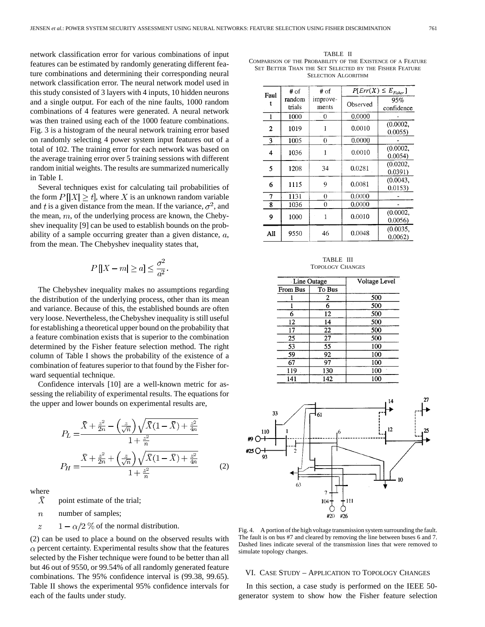network classification error for various combinations of input features can be estimated by randomly generating different feature combinations and determining their corresponding neural network classification error. The neural network model used in this study consisted of 3 layers with 4 inputs, 10 hidden neurons and a single output. For each of the nine faults, 1000 random combinations of 4 features were generated. A neural network was then trained using each of the 1000 feature combinations. Fig. 3 is a histogram of the neural network training error based on randomly selecting 4 power system input features out of a total of 102. The training error for each network was based on the average training error over 5 training sessions with different random initial weights. The results are summarized numerically in Table I.

Several techniques exist for calculating tail probabilities of the form  $P[|X| \ge t]$ , where X is an unknown random variable and t is a given distance from the mean. If the variance,  $\sigma^2$ , and the mean,  $m$ , of the underlying process are known, the Chebyshev inequality [9] can be used to establish bounds on the probability of a sample occurring greater than a given distance,  $a$ , from the mean. The Chebyshev inequality states that,

$$
P\left[|X - m| \ge a\right] \le \frac{\sigma^2}{a^2}.
$$

The Chebyshev inequality makes no assumptions regarding the distribution of the underlying process, other than its mean and variance. Because of this, the established bounds are often very loose. Nevertheless, the Chebyshev inequality is still useful for establishing a theoretical upper bound on the probability that a feature combination exists that is superior to the combination determined by the Fisher feature selection method. The right column of Table I shows the probability of the existence of a combination of features superior to that found by the Fisher forward sequential technique.

Confidence intervals [10] are a well-known metric for assessing the reliability of experimental results. The equations for the upper and lower bounds on experimental results are,

$$
P_L = \frac{\bar{X} + \frac{z^2}{2n} - \left(\frac{z}{\sqrt{n}}\right)\sqrt{\bar{X}(1-\bar{X}) + \frac{z^2}{4n}}}{1 + \frac{z^2}{n}}
$$

$$
P_H = \frac{\bar{X} + \frac{z^2}{2n} + \left(\frac{z}{\sqrt{n}}\right)\sqrt{\bar{X}(1-\bar{X}) + \frac{z^2}{4n}}}{1 + \frac{z^2}{n}}
$$
(2)

where

 $\bar{X}$ point estimate of the trial;

 $\overline{n}$ number of samples;

 $1 - \alpha/2$  % of the normal distribution.  $\overline{z}$ 

(2) can be used to place a bound on the observed results with  $\alpha$  percent certainty. Experimental results show that the features selected by the Fisher technique were found to be better than all but 46 out of 9550, or 99.54% of all randomly generated feature combinations. The 95% confidence interval is (99.38, 99.65). Table II shows the experimental 95% confidence intervals for each of the faults under study.

TABLE II COMPARISON OF THE PROBABILITY OF THE EXISTENCE OF A FEATURE SET BETTER THAN THE SET SELECTED BY THE FISHER FEATURE SELECTION ALGORITHM

| Faul         | # of             | # of              | $P[Err(X) \leq E_{Fisher}]$ |                    |  |
|--------------|------------------|-------------------|-----------------------------|--------------------|--|
| t            | random<br>trials | improve-<br>ments | Observed                    | 95%<br>confidence  |  |
| 1            | 1000             | $\cdot$ 0         | 0.0000                      |                    |  |
| $\mathbf{z}$ | 1019             | 1                 | 0.0010                      | (0.0002,<br>0.0055 |  |
| 3            | 1005             | 0                 | 0.0000                      |                    |  |
| 4            | 1036             | 1                 | 0.0010                      | (0.0002,<br>0.0054 |  |
| 5            | 1208             | 34                | 0.0281                      | (0.0202,<br>0.0391 |  |
| 6            | 1115             | 9                 | 0.0081                      | (0.0043,<br>0.0153 |  |
| 7            | 1131             | 0                 | 0.0000                      |                    |  |
| 8            | 1036             | 0                 | 0.0000                      |                    |  |
| 9            | 1000             | 1                 | 0.0010                      | (0.0002,<br>0.0056 |  |
| All          | 9550             | 46                | 0.0048                      | (0.0035,<br>0.0062 |  |

TABLE III TOPOLOGY CHANGES

| Line Outage |        | Voltage Level |
|-------------|--------|---------------|
| From Bus    | To Bus |               |
|             | 2      | 500           |
|             | 6      | 500           |
| 6           | 12     | 500           |
| 12          | 14     | 500           |
| 17          | 22     | 500           |
| 25          | 27     | 500           |
| 53          | 55     | 100           |
| 59          | 92     | 100           |
| 67          | 97     | 100           |
| 119         | 130    | 100           |
| 141         | 142    | 100           |



Fig. 4. A portion of the high voltage transmission system surrounding the fault. The fault is on bus #7 and cleared by removing the line between buses 6 and 7. Dashed lines indicate several of the transmission lines that were removed to simulate topology changes.

## VI. CASE STUDY – APPLICATION TO TOPOLOGY CHANGES

In this section, a case study is performed on the IEEE 50 generator system to show how the Fisher feature selection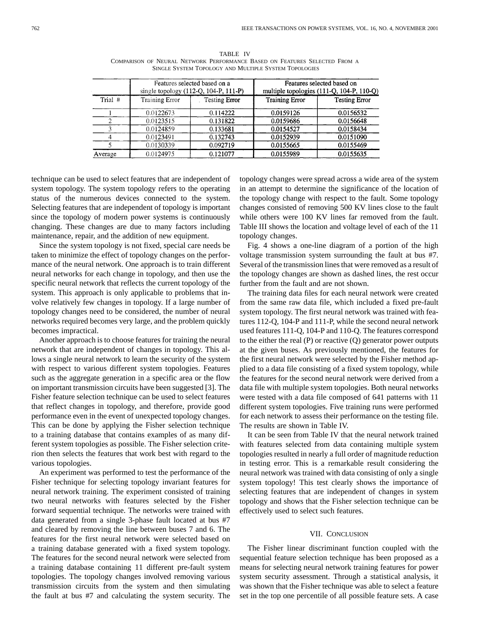|         |                | Features selected based on a<br>single topology (112-Q, 104-P, 111-P) | Features selected based on<br>multiple topologies $(111-Q, 104-P, 110-Q)$ |                      |  |
|---------|----------------|-----------------------------------------------------------------------|---------------------------------------------------------------------------|----------------------|--|
| Trial # | Training Error | <b>Testing Error</b>                                                  | <b>Training Error</b>                                                     | <b>Testing Error</b> |  |
|         | 0.0122673      | 0.114222                                                              | 0.0159126                                                                 | 0.0156532            |  |
|         | 0.0123515      | 0.131822                                                              | 0.0159686                                                                 | 0.0156648            |  |
|         | 0.0124859      | 0.133681                                                              | 0.0154527                                                                 | 0.0158434            |  |
| 4       | 0.0123491      | 0.132743                                                              | 0.0152939                                                                 | 0.0151090            |  |
|         | 0.0130339      | 0.092719                                                              | 0.0155665                                                                 | 0.0155469            |  |
| Average | 0.0124975      | 0.121077                                                              | 0.0155989                                                                 | 0.0155635            |  |

TABLE IV COMPARISON OF NEURAL NETWORK PERFORMANCE BASED ON FEATURES SELECTED FROM A SINGLE SYSTEM TOPOLOGY AND MULTIPLE SYSTEM TOPOLOGIES

technique can be used to select features that are independent of system topology. The system topology refers to the operating status of the numerous devices connected to the system. Selecting features that are independent of topology is important since the topology of modern power systems is continuously changing. These changes are due to many factors including maintenance, repair, and the addition of new equipment.

Since the system topology is not fixed, special care needs be taken to minimize the effect of topology changes on the performance of the neural network. One approach is to train different neural networks for each change in topology, and then use the specific neural network that reflects the current topology of the system. This approach is only applicable to problems that involve relatively few changes in topology. If a large number of topology changes need to be considered, the number of neural networks required becomes very large, and the problem quickly becomes impractical.

Another approach is to choose features for training the neural network that are independent of changes in topology. This allows a single neural network to learn the security of the system with respect to various different system topologies. Features such as the aggregate generation in a specific area or the flow on important transmission circuits have been suggested [3]. The Fisher feature selection technique can be used to select features that reflect changes in topology, and therefore, provide good performance even in the event of unexpected topology changes. This can be done by applying the Fisher selection technique to a training database that contains examples of as many different system topologies as possible. The Fisher selection criterion then selects the features that work best with regard to the various topologies.

An experiment was performed to test the performance of the Fisher technique for selecting topology invariant features for neural network training. The experiment consisted of training two neural networks with features selected by the Fisher forward sequential technique. The networks were trained with data generated from a single 3-phase fault located at bus #7 and cleared by removing the line between buses 7 and 6. The features for the first neural network were selected based on a training database generated with a fixed system topology. The features for the second neural network were selected from a training database containing 11 different pre-fault system topologies. The topology changes involved removing various transmission circuits from the system and then simulating the fault at bus #7 and calculating the system security. The topology changes were spread across a wide area of the system in an attempt to determine the significance of the location of the topology change with respect to the fault. Some topology changes consisted of removing 500 KV lines close to the fault while others were 100 KV lines far removed from the fault. Table III shows the location and voltage level of each of the 11 topology changes.

Fig. 4 shows a one-line diagram of a portion of the high voltage transmission system surrounding the fault at bus #7. Several of the transmission lines that were removed as a result of the topology changes are shown as dashed lines, the rest occur further from the fault and are not shown.

The training data files for each neural network were created from the same raw data file, which included a fixed pre-fault system topology. The first neural network was trained with features 112-Q, 104-P and 111-P, while the second neural network used features 111-Q, 104-P and 110-Q. The features correspond to the either the real  $(P)$  or reactive  $(Q)$  generator power outputs at the given buses. As previously mentioned, the features for the first neural network were selected by the Fisher method applied to a data file consisting of a fixed system topology, while the features for the second neural network were derived from a data file with multiple system topologies. Both neural networks were tested with a data file composed of 641 patterns with 11 different system topologies. Five training runs were performed for each network to assess their performance on the testing file. The results are shown in Table IV.

It can be seen from Table IV that the neural network trained with features selected from data containing multiple system topologies resulted in nearly a full order of magnitude reduction in testing error. This is a remarkable result considering the neural network was trained with data consisting of only a single system topology! This test clearly shows the importance of selecting features that are independent of changes in system topology and shows that the Fisher selection technique can be effectively used to select such features.

# VII. CONCLUSION

The Fisher linear discriminant function coupled with the sequential feature selection technique has been proposed as a means for selecting neural network training features for power system security assessment. Through a statistical analysis, it was shown that the Fisher technique was able to select a feature set in the top one percentile of all possible feature sets. A case